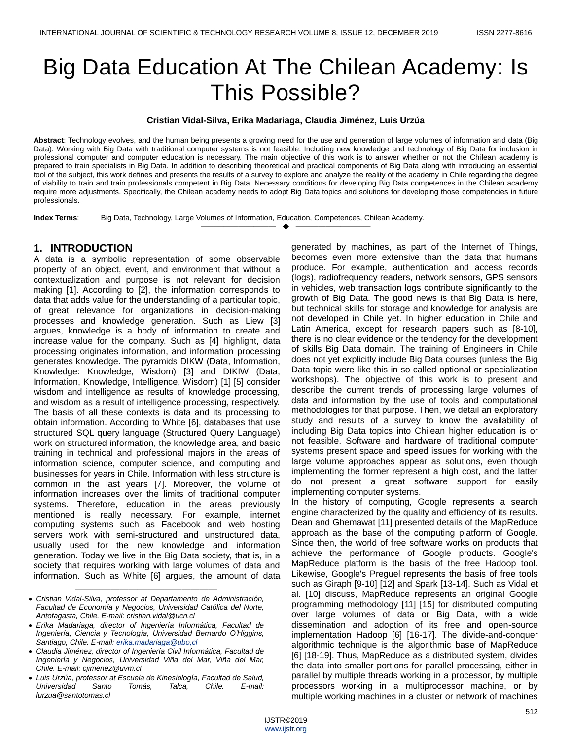# Big Data Education At The Chilean Academy: Is This Possible?

#### **Cristian Vidal-Silva, Erika Madariaga, Claudia Jiménez, Luis Urzúa**

**Abstract**: Technology evolves, and the human being presents a growing need for the use and generation of large volumes of information and data (Big Data). Working with Big Data with traditional computer systems is not feasible: Including new knowledge and technology of Big Data for inclusion in professional computer and computer education is necessary. The main objective of this work is to answer whether or not the Chilean academy is prepared to train specialists in Big Data. In addition to describing theoretical and practical components of Big Data along with introducing an essential tool of the subject, this work defines and presents the results of a survey to explore and analyze the reality of the academy in Chile regarding the degree of viability to train and train professionals competent in Big Data. Necessary conditions for developing Big Data competences in the Chilean academy require more adjustments. Specifically, the Chilean academy needs to adopt Big Data topics and solutions for developing those competencies in future professionals.

—————————— ——————————

**Index Terms**: Big Data, Technology, Large Volumes of Information, Education, Competences, Chilean Academy.

### **1. INTRODUCTION**

A data is a symbolic representation of some observable property of an object, event, and environment that without a contextualization and purpose is not relevant for decision making [1]. According to [2], the information corresponds to data that adds value for the understanding of a particular topic, of great relevance for organizations in decision-making processes and knowledge generation. Such as Liew [3] argues, knowledge is a body of information to create and increase value for the company. Such as [4] highlight, data processing originates information, and information processing generates knowledge. The pyramids DIKW (Data, Information, Knowledge: Knowledge, Wisdom) [3] and DIKIW (Data, Information, Knowledge, Intelligence, Wisdom) [1] [5] consider wisdom and intelligence as results of knowledge processing. and wisdom as a result of intelligence processing, respectively. The basis of all these contexts is data and its processing to obtain information. According to White [6], databases that use structured SQL query language (Structured Query Language) work on structured information, the knowledge area, and basic training in technical and professional majors in the areas of information science, computer science, and computing and businesses for years in Chile. Information with less structure is common in the last years [7]. Moreover, the volume of information increases over the limits of traditional computer systems. Therefore, education in the areas previously mentioned is really necessary. For example, internet computing systems such as Facebook and web hosting servers work with semi-structured and unstructured data, usually used for the new knowledge and information generation. Today we live in the Big Data society, that is, in a society that requires working with large volumes of data and information. Such as White [6] argues, the amount of data

generated by machines, as part of the Internet of Things, becomes even more extensive than the data that humans produce. For example, authentication and access records (logs), radiofrequency readers, network sensors, GPS sensors in vehicles, web transaction logs contribute significantly to the growth of Big Data. The good news is that Big Data is here, but technical skills for storage and knowledge for analysis are not developed in Chile yet. In higher education in Chile and Latin America, except for research papers such as [8-10], there is no clear evidence or the tendency for the development of skills Big Data domain. The training of Engineers in Chile does not yet explicitly include Big Data courses (unless the Big Data topic were like this in so-called optional or specialization workshops). The objective of this work is to present and describe the current trends of processing large volumes of data and information by the use of tools and computational methodologies for that purpose. Then, we detail an exploratory study and results of a survey to know the availability of including Big Data topics into Chilean higher education is or not feasible. Software and hardware of traditional computer systems present space and speed issues for working with the large volume approaches appear as solutions, even though implementing the former represent a high cost, and the latter do not present a great software support for easily implementing computer systems.

In the history of computing, Google represents a search engine characterized by the quality and efficiency of its results. Dean and Ghemawat [11] presented details of the MapReduce approach as the base of the computing platform of Google. Since then, the world of free software works on products that achieve the performance of Google products. Google's MapReduce platform is the basis of the free Hadoop tool. Likewise, Google's Preguel represents the basis of free tools such as Giraph [9-10] [12] and Spark [13-14]. Such as Vidal et al. [10] discuss, MapReduce represents an original Google programming methodology [11] [15] for distributed computing over large volumes of data or Big Data, with a wide dissemination and adoption of its free and open-source implementation Hadoop [6] [16-17]. The divide-and-conquer algorithmic technique is the algorithmic base of MapReduce [6] [18-19]. Thus, MapReduce as a distributed system, divides the data into smaller portions for parallel processing, either in parallel by multiple threads working in a processor, by multiple processors working in a multiprocessor machine, or by multiple working machines in a cluster or network of machines

<sup>————————————————</sup> *Cristian Vidal-Silva, professor at Departamento de Administración, Facultad de Economía y Negocios, Universidad Católica del Norte, Antofagasta, Chile. E-mail: cristian.vidal@ucn.cl*

*Erika Madariaga, director of Ingeniería Informática, Facultad de Ingeniería, Ciencia y Tecnología, Universidad Bernardo O'Higgins, Santiago, Chile. E-mail[: erika.madariaga@ubo,cl](mailto:erika.madariaga@ubo,cl)*

*Claudia Jiménez, director of Ingeniería Civil Informática, Facultad de Ingeniería y Negocios, Universidad Viña del Mar, Viña del Mar, Chile. E-mail: cjimenez@uvm.cl*

*Luis Urzúa, professor at Escuela de Kinesiología, Facultad de Salud, Universidad Santo Tomás, Talca, Chile. E-mail: lurzua@santotomas.cl*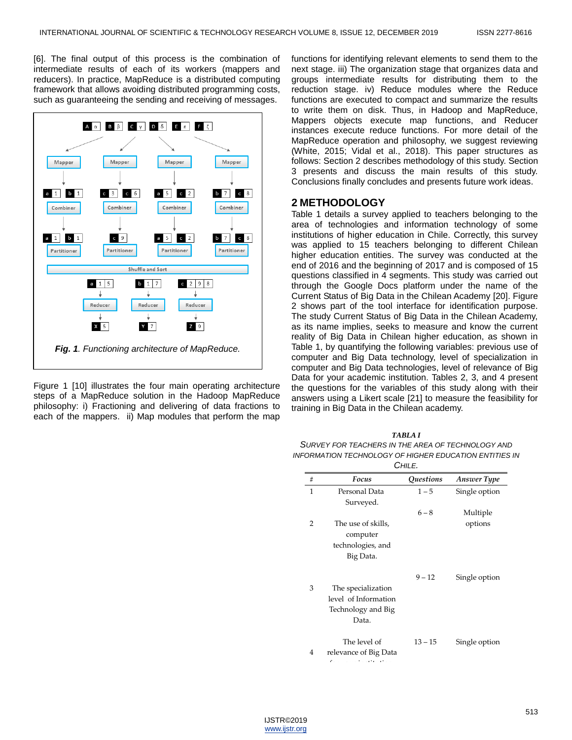[6]. The final output of this process is the combination of intermediate results of each of its workers (mappers and reducers). In practice, MapReduce is a distributed computing framework that allows avoiding distributed programming costs, such as guaranteeing the sending and receiving of messages.



Figure 1 [10] illustrates the four main operating architecture steps of a MapReduce solution in the Hadoop MapReduce philosophy: i) Fractioning and delivering of data fractions to each of the mappers. ii) Map modules that perform the map

functions for identifying relevant elements to send them to the next stage. iii) The organization stage that organizes data and groups intermediate results for distributing them to the reduction stage. iv) Reduce modules where the Reduce functions are executed to compact and summarize the results to write them on disk. Thus, in Hadoop and MapReduce, Mappers objects execute map functions, and Reducer instances execute reduce functions. For more detail of the MapReduce operation and philosophy, we suggest reviewing (White, 2015; Vidal et al., 2018). This paper structures as follows: Section 2 describes methodology of this study. Section 3 presents and discuss the main results of this study. Conclusions finally concludes and presents future work ideas.

#### **2 METHODOLOGY**

Table 1 details a survey applied to teachers belonging to the area of technologies and information technology of some institutions of higher education in Chile. Correctly, this survey was applied to 15 teachers belonging to different Chilean higher education entities. The survey was conducted at the end of 2016 and the beginning of 2017 and is composed of 15 questions classified in 4 segments. This study was carried out through the Google Docs platform under the name of the Current Status of Big Data in the Chilean Academy [20]. Figure 2 shows part of the tool interface for identification purpose. The study Current Status of Big Data in the Chilean Academy, as its name implies, seeks to measure and know the current reality of Big Data in Chilean higher education, as shown in Table 1, by quantifying the following variables: previous use of computer and Big Data technology, level of specialization in computer and Big Data technologies, level of relevance of Big Data for your academic institution. Tables 2, 3, and 4 present the questions for the variables of this study along with their answers using a Likert scale [21] to measure the feasibility for training in Big Data in the Chilean academy.

| TARLA I                                                |
|--------------------------------------------------------|
| SURVEY FOR TEACHERS IN THE AREA OF TECHNOLOGY AND      |
| INFORMATION TECHNOLOGY OF HIGHER EDUCATION ENTITIES IN |
| $\sim$ $-$                                             |

| Chile.       |                                                                           |                                |                     |  |
|--------------|---------------------------------------------------------------------------|--------------------------------|---------------------|--|
| #            | Focus                                                                     | <i><u><b>Questions</b></u></i> | <b>Answer Type</b>  |  |
| $\mathbf{1}$ | Personal Data<br>Surveyed.                                                | $1 - 5$                        | Single option       |  |
| 2            | The use of skills,                                                        | $6 - 8$                        | Multiple<br>options |  |
|              | computer<br>technologies, and<br>Big Data.                                |                                |                     |  |
| 3            | The specialization<br>level of Information<br>Technology and Big<br>Data. | $9 - 12$                       | Single option       |  |
| 4            | The level of<br>relevance of Big Data<br>c                                | $13 - 15$                      | Single option       |  |

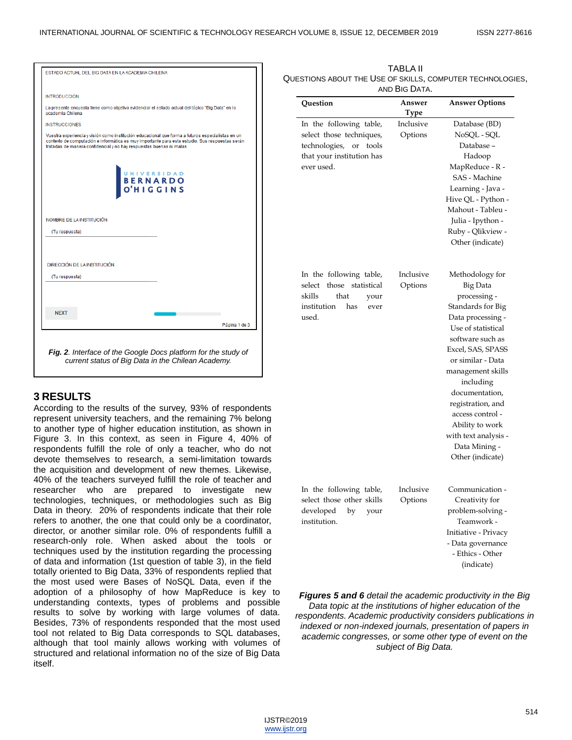| ESTADO ACTUAL DEL BIG DATA EN LA ACADEMIA CHILENA                   |                                                                                                                                                                                                      |
|---------------------------------------------------------------------|------------------------------------------------------------------------------------------------------------------------------------------------------------------------------------------------------|
| <b>INTRODUCCIÓN</b>                                                 |                                                                                                                                                                                                      |
| academia Chilena                                                    | La presente encuesta tiene como objetivo evidenciar el estado actual del tópico "Big Data" en la                                                                                                     |
| <b>INSTRUCCIONES</b>                                                |                                                                                                                                                                                                      |
| tratadas de manera confidencial y no hay respuestas buenas ni malas | Vuestra experiencia y visión como institución educacional que forma a futuros especialistas en un<br>contexto de computación e informática es muy importante para este estudio. Sus respuestas serán |
|                                                                     | UNIVERSIDAD<br>O'HIGGINS                                                                                                                                                                             |
|                                                                     |                                                                                                                                                                                                      |
| NOMBRE DE LA INSTITUCIÓN                                            |                                                                                                                                                                                                      |
| (Tu respuesta)                                                      |                                                                                                                                                                                                      |
|                                                                     |                                                                                                                                                                                                      |
|                                                                     |                                                                                                                                                                                                      |
| DIRECCIÓN DE LA INSTITUCIÓN                                         |                                                                                                                                                                                                      |
| (Tu respuesta)                                                      |                                                                                                                                                                                                      |
|                                                                     |                                                                                                                                                                                                      |
|                                                                     |                                                                                                                                                                                                      |
| <b>NEXT</b>                                                         |                                                                                                                                                                                                      |
|                                                                     | Página 1 de 3                                                                                                                                                                                        |

#### **3 RESULTS**

According to the results of the survey, 93% of respondents represent university teachers, and the remaining 7% belong to another type of higher education institution, as shown in Figure 3. In this context, as seen in Figure 4, 40% of respondents fulfill the role of only a teacher, who do not devote themselves to research, a semi-limitation towards the acquisition and development of new themes. Likewise, 40% of the teachers surveyed fulfill the role of teacher and researcher who are prepared to investigate new technologies, techniques, or methodologies such as Big Data in theory. 20% of respondents indicate that their role refers to another, the one that could only be a coordinator, director, or another similar role. 0% of respondents fulfill a research-only role. When asked about the tools or techniques used by the institution regarding the processing of data and information (1st question of table 3), in the field totally oriented to Big Data, 33% of respondents replied that the most used were Bases of NoSQL Data, even if the adoption of a philosophy of how MapReduce is key to understanding contexts, types of problems and possible results to solve by working with large volumes of data. Besides, 73% of respondents responded that the most used tool not related to Big Data corresponds to SQL databases, although that tool mainly allows working with volumes of structured and relational information no of the size of Big Data itself.

| TABLA II                                                  |
|-----------------------------------------------------------|
| QUESTIONS ABOUT THE USE OF SKILLS, COMPUTER TECHNOLOGIES, |
| AND BIG DATA.                                             |

| Answer<br>Type<br>Inclusive<br>Options | <b>Answer Options</b><br>Database (BD)<br>NoSQL - SQL<br>Database-<br>Hadoop<br>MapReduce - R -                                                      |
|----------------------------------------|------------------------------------------------------------------------------------------------------------------------------------------------------|
|                                        |                                                                                                                                                      |
|                                        |                                                                                                                                                      |
|                                        |                                                                                                                                                      |
|                                        |                                                                                                                                                      |
|                                        |                                                                                                                                                      |
|                                        |                                                                                                                                                      |
|                                        |                                                                                                                                                      |
|                                        | <b>SAS</b> - Machine                                                                                                                                 |
|                                        | Learning - Java -                                                                                                                                    |
|                                        | Hive QL - Python -                                                                                                                                   |
|                                        | Mahout - Tableu -                                                                                                                                    |
|                                        | Julia - Ipython -                                                                                                                                    |
|                                        | Ruby - Qlikview -                                                                                                                                    |
|                                        | Other (indicate)                                                                                                                                     |
| Inclusive<br>Options                   | Methodology for<br>Big Data<br>processing -<br>Standards for Big<br>Data processing -<br>Use of statistical<br>software such as<br>Excel, SAS, SPASS |
|                                        | or similar - Data<br>management skills                                                                                                               |
|                                        | including                                                                                                                                            |
|                                        | documentation,                                                                                                                                       |
|                                        | registration, and                                                                                                                                    |
|                                        | access control -                                                                                                                                     |
|                                        | Ability to work                                                                                                                                      |
|                                        | with text analysis -                                                                                                                                 |
|                                        | Data Mining -                                                                                                                                        |
|                                        | Other (indicate)                                                                                                                                     |
|                                        |                                                                                                                                                      |
| Inclusive                              | Communication -                                                                                                                                      |
| Options                                | Creativity for                                                                                                                                       |
|                                        | problem-solving -                                                                                                                                    |
|                                        | Teamwork -                                                                                                                                           |
|                                        | Initiative - Privacy                                                                                                                                 |
|                                        | - Data governance                                                                                                                                    |
|                                        | - Ethics - Other                                                                                                                                     |
|                                        | (indicate)                                                                                                                                           |
|                                        |                                                                                                                                                      |

*Figures 5 and 6 detail the academic productivity in the Big Data topic at the institutions of higher education of the respondents. Academic productivity considers publications in indexed or non-indexed journals, presentation of papers in academic congresses, or some other type of event on the subject of Big Data.*

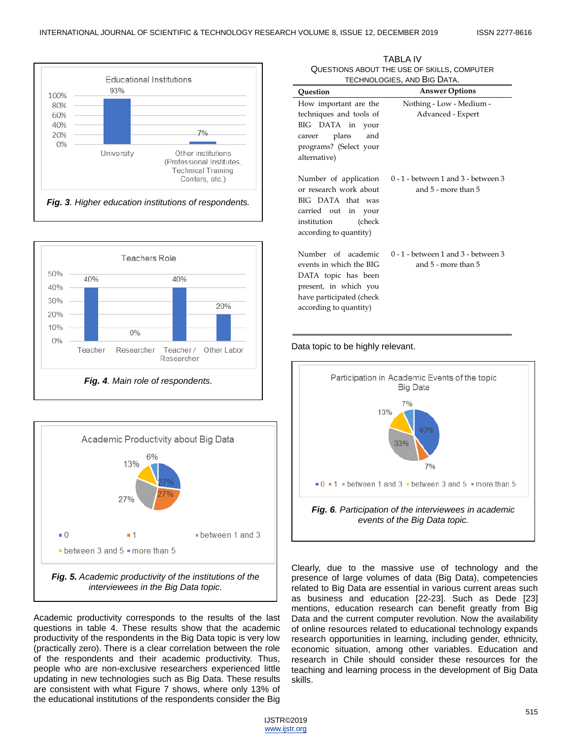





Academic productivity corresponds to the results of the last questions in table 4. These results show that the academic productivity of the respondents in the Big Data topic is very low (practically zero). There is a clear correlation between the role of the respondents and their academic productivity. Thus, people who are non-exclusive researchers experienced little updating in new technologies such as Big Data. These results are consistent with what Figure 7 shows, where only 13% of the educational institutions of the respondents consider the Big

| TECHNOLOGIES, AND BIG DATA.                                                                                                                         |                                                              |  |  |
|-----------------------------------------------------------------------------------------------------------------------------------------------------|--------------------------------------------------------------|--|--|
| Ouestion                                                                                                                                            | <b>Answer Options</b>                                        |  |  |
| How important are the                                                                                                                               | Nothing - Low - Medium -                                     |  |  |
| techniques and tools of<br>BIG DATA in your<br>career plans and<br>programs? (Select your<br>alternative)                                           | Advanced - Expert                                            |  |  |
| Number of application<br>or research work about<br>BIG DATA that was<br>carried out in your<br>institution<br>(check<br>according to quantity)      | $0 - 1$ - between 1 and 3 - between 3<br>and 5 - more than 5 |  |  |
| Number of academic<br>events in which the BIG<br>DATA topic has been<br>present, in which you<br>have participated (check<br>according to quantity) | $0 - 1$ - between 1 and 3 - between 3<br>and 5 - more than 5 |  |  |

TABLA IV QUESTIONS ABOUT THE USE OF SKILLS, COMPUTER TECHNOLOGIES, AND BIG DATA.

Data topic to be highly relevant.



Clearly, due to the massive use of technology and the presence of large volumes of data (Big Data), competencies related to Big Data are essential in various current areas such as business and education [22-23]. Such as Dede [23] mentions, education research can benefit greatly from Big Data and the current computer revolution. Now the availability of online resources related to educational technology expands research opportunities in learning, including gender, ethnicity, economic situation, among other variables. Education and research in Chile should consider these resources for the teaching and learning process in the development of Big Data skills.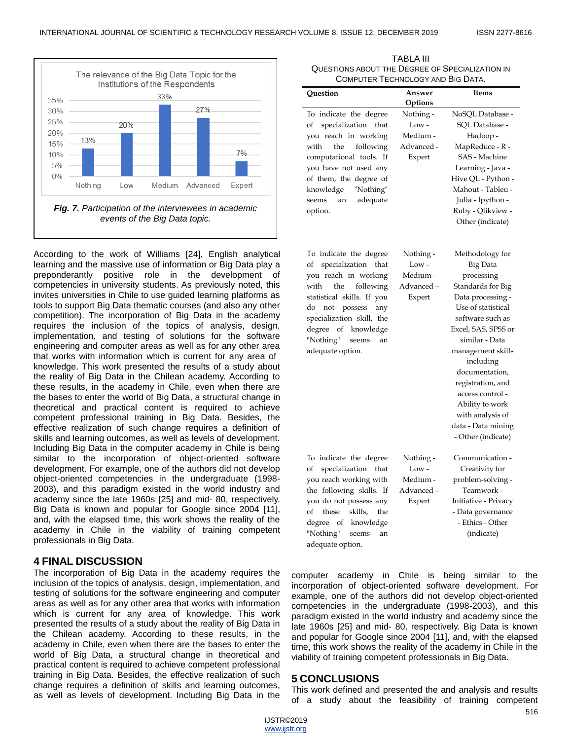

According to the work of Williams [24], English analytical learning and the massive use of information or Big Data play a preponderantly positive role in the development of competencies in university students. As previously noted, this invites universities in Chile to use guided learning platforms as tools to support Big Data thematic courses (and also any other competition). The incorporation of Big Data in the academy requires the inclusion of the topics of analysis, design, implementation, and testing of solutions for the software engineering and computer areas as well as for any other area that works with information which is current for any area of knowledge. This work presented the results of a study about the reality of Big Data in the Chilean academy. According to these results, in the academy in Chile, even when there are the bases to enter the world of Big Data, a structural change in theoretical and practical content is required to achieve competent professional training in Big Data. Besides, the effective realization of such change requires a definition of skills and learning outcomes, as well as levels of development. Including Big Data in the computer academy in Chile is being similar to the incorporation of object-oriented software development. For example, one of the authors did not develop object-oriented competencies in the undergraduate (1998- 2003), and this paradigm existed in the world industry and academy since the late 1960s [25] and mid- 80, respectively. Big Data is known and popular for Google since 2004 [11], and, with the elapsed time, this work shows the reality of the academy in Chile in the viability of training competent professionals in Big Data.

#### **4 FINAL DISCUSSION**

The incorporation of Big Data in the academy requires the inclusion of the topics of analysis, design, implementation, and testing of solutions for the software engineering and computer areas as well as for any other area that works with information which is current for any area of knowledge. This work presented the results of a study about the reality of Big Data in the Chilean academy. According to these results, in the academy in Chile, even when there are the bases to enter the world of Big Data, a structural change in theoretical and practical content is required to achieve competent professional training in Big Data. Besides, the effective realization of such change requires a definition of skills and learning outcomes, as well as levels of development. Including Big Data in the

| COMPUTER TECHNOLOGY AND BIG DATA.                                                                                                                                                                                                                                        |                                                          |                                                                                                                                                                                                                                                                                                                                                          |  |
|--------------------------------------------------------------------------------------------------------------------------------------------------------------------------------------------------------------------------------------------------------------------------|----------------------------------------------------------|----------------------------------------------------------------------------------------------------------------------------------------------------------------------------------------------------------------------------------------------------------------------------------------------------------------------------------------------------------|--|
| Question                                                                                                                                                                                                                                                                 | Answer<br>Options                                        | Items                                                                                                                                                                                                                                                                                                                                                    |  |
| To indicate the degree<br>specialization<br>of<br>that<br>you reach in working<br>the<br>following<br>with<br>computational tools. If<br>you have not used any<br>of them, the degree of<br>knowledge<br>"Nothing"<br>adequate<br>seems<br>an<br>option.                 | Nothing -<br>$Low -$<br>Medium -<br>Advanced -<br>Expert | NoSQL Database -<br>SQL Database -<br>Hadoop-<br>MapReduce - R -<br>SAS - Machine<br>Learning - Java -<br>Hive QL - Python -<br>Mahout - Tableu -<br>Julia - Ipython -<br>Ruby - Qlikview -<br>Other (indicate)                                                                                                                                          |  |
| To indicate the degree<br>of specialization<br>that<br>you reach in working<br>following<br>with<br>the<br>statistical skills. If you<br>do<br>not possess<br>any<br>specialization skill, the<br>knowledge<br>degree of<br>"Nothing"<br>seems<br>an<br>adequate option. | Nothing -<br>Low -<br>Medium -<br>Advanced-<br>Expert    | Methodology for<br>Big Data<br>processing -<br>Standards for Big<br>Data processing -<br>Use of statistical<br>software such as<br>Excel, SAS, SPSS or<br>similar - Data<br>management skills<br>including<br>documentation,<br>registration, and<br>access control -<br>Ability to work<br>with analysis of<br>data - Data mining<br>- Other (indicate) |  |
| To indicate the degree<br>of specialization<br>that<br>you reach working with<br>the following skills. If<br>you do not possess any<br>of<br>these<br>skills,<br>the<br>knowledge<br>degree of<br>"Nothing"<br>seems<br>an<br>adequate option.                           | Nothing -<br>Low-<br>Medium -<br>Advanced –<br>Expert    | Communication -<br>Creativity for<br>problem-solving -<br>Teamwork -<br>Initiative - Privacy<br>- Data governance<br>- Ethics - Other<br>(indicate)                                                                                                                                                                                                      |  |

TABLA III QUESTIONS ABOUT THE DEGREE OF SPECIALIZATION IN

computer academy in Chile is being similar to the incorporation of object-oriented software development. For example, one of the authors did not develop object-oriented competencies in the undergraduate (1998-2003), and this paradigm existed in the world industry and academy since the late 1960s [25] and mid- 80, respectively. Big Data is known and popular for Google since 2004 [11], and, with the elapsed time, this work shows the reality of the academy in Chile in the viability of training competent professionals in Big Data.

#### **5 CONCLUSIONS**

This work defined and presented the and analysis and results of a study about the feasibility of training competent